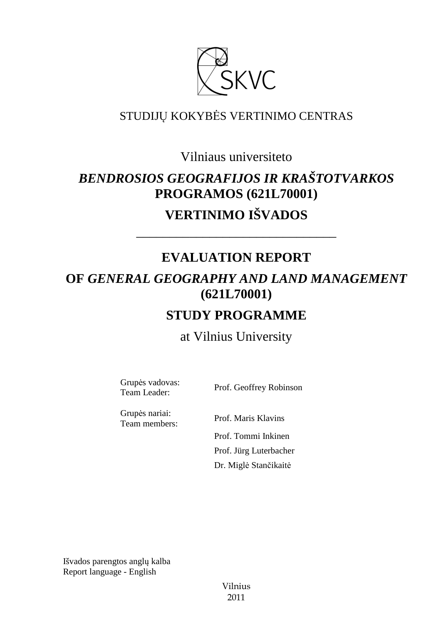

# STUDIJŲ KOKYBĖS VERTINIMO CENTRAS

Vilniaus universiteto

# *BENDROSIOS GEOGRAFIJOS IR KRAŠTOTVARKOS*  **PROGRAMOS (621L70001)**

**VERTINIMO IŠVADOS** 

# **EVALUATION REPORT**

––––––––––––––––––––––––––––––

# **OF** *GENERAL GEOGRAPHY AND LAND MANAGEMENT*  **(621L70001)**

# **STUDY PROGRAMME**

# at Vilnius University

Grupės vadovas:

Team Leader: Prof. Geoffrey Robinson

Grupės nariai:

Team members: Prof. Maris Klavins Prof. Tommi Inkinen Prof. Jürg Luterbacher Dr. Miglė Stančikaitė

Išvados parengtos anglų kalba Report language - English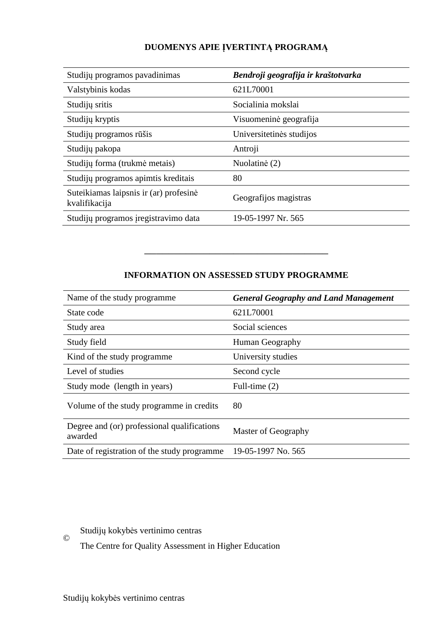# **DUOMENYS APIE ĮVERTINTĄ PROGRAMĄ**

| Studijų programos pavadinimas                           | Bendroji geografija ir kraštotvarka |
|---------------------------------------------------------|-------------------------------------|
| Valstybinis kodas                                       | 621L70001                           |
| Studijų sritis                                          | Socialinia mokslai                  |
| Studijų kryptis                                         | Visuomeninė geografija              |
| Studijų programos rūšis                                 | Universitetinės studijos            |
| Studijų pakopa                                          | Antroji                             |
| Studijų forma (trukmė metais)                           | Nuolatinė (2)                       |
| Studijų programos apimtis kreditais                     | 80                                  |
| Suteikiamas laipsnis ir (ar) profesinė<br>kvalifikacija | Geografijos magistras               |
| Studijų programos į registravimo data                   | 19-05-1997 Nr. 565                  |

# **INFORMATION ON ASSESSED STUDY PROGRAMME**

–––––––––––––––––––––––––––––––

| Name of the study programme.                           | <b>General Geography and Land Management</b> |
|--------------------------------------------------------|----------------------------------------------|
| State code                                             | 621L70001                                    |
| Study area                                             | Social sciences                              |
| Study field                                            | Human Geography                              |
| Kind of the study programme                            | University studies                           |
| Level of studies                                       | Second cycle                                 |
| Study mode (length in years)                           | Full-time $(2)$                              |
| Volume of the study programme in credits               | 80                                           |
| Degree and (or) professional qualifications<br>awarded | Master of Geography                          |
| Date of registration of the study programme            | 19-05-1997 No. 565                           |

Studijų kokybės vertinimo centras

The Centre for Quality Assessment in Higher Education

©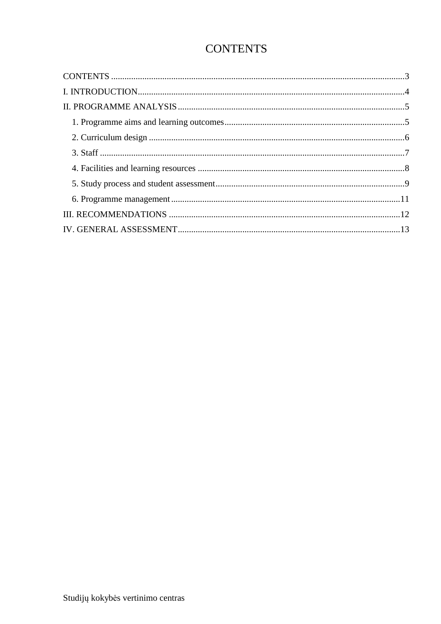# **CONTENTS**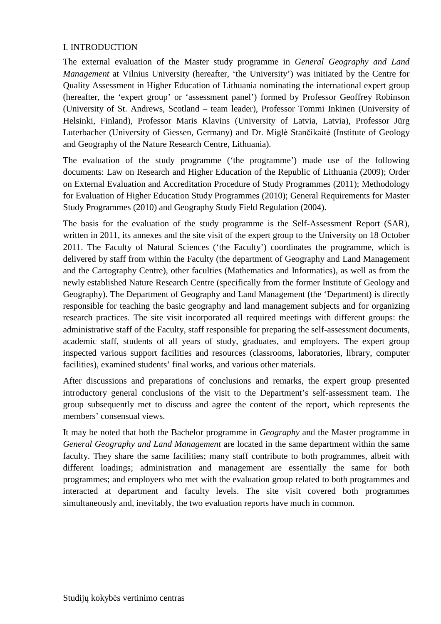### I. INTRODUCTION

The external evaluation of the Master study programme in *General Geography and Land Management* at Vilnius University (hereafter, 'the University') was initiated by the Centre for Quality Assessment in Higher Education of Lithuania nominating the international expert group (hereafter, the 'expert group' or 'assessment panel') formed by Professor Geoffrey Robinson (University of St. Andrews, Scotland – team leader), Professor Tommi Inkinen (University of Helsinki, Finland), Professor Maris Klavins (University of Latvia, Latvia), Professor Jürg Luterbacher (University of Giessen, Germany) and Dr. Miglė Stančikaitė (Institute of Geology and Geography of the Nature Research Centre, Lithuania).

The evaluation of the study programme ('the programme') made use of the following documents: Law on Research and Higher Education of the Republic of Lithuania (2009); Order on External Evaluation and Accreditation Procedure of Study Programmes (2011); Methodology for Evaluation of Higher Education Study Programmes (2010); General Requirements for Master Study Programmes (2010) and Geography Study Field Regulation (2004).

The basis for the evaluation of the study programme is the Self-Assessment Report (SAR), written in 2011, its annexes and the site visit of the expert group to the University on 18 October 2011. The Faculty of Natural Sciences ('the Faculty') coordinates the programme, which is delivered by staff from within the Faculty (the department of Geography and Land Management and the Cartography Centre), other faculties (Mathematics and Informatics), as well as from the newly established Nature Research Centre (specifically from the former Institute of Geology and Geography). The Department of Geography and Land Management (the 'Department) is directly responsible for teaching the basic geography and land management subjects and for organizing research practices. The site visit incorporated all required meetings with different groups: the administrative staff of the Faculty, staff responsible for preparing the self-assessment documents, academic staff, students of all years of study, graduates, and employers. The expert group inspected various support facilities and resources (classrooms, laboratories, library, computer facilities), examined students' final works, and various other materials.

After discussions and preparations of conclusions and remarks, the expert group presented introductory general conclusions of the visit to the Department's self-assessment team. The group subsequently met to discuss and agree the content of the report, which represents the members' consensual views.

It may be noted that both the Bachelor programme in *Geography* and the Master programme in *General Geography and Land Management* are located in the same department within the same faculty. They share the same facilities; many staff contribute to both programmes, albeit with different loadings; administration and management are essentially the same for both programmes; and employers who met with the evaluation group related to both programmes and interacted at department and faculty levels. The site visit covered both programmes simultaneously and, inevitably, the two evaluation reports have much in common.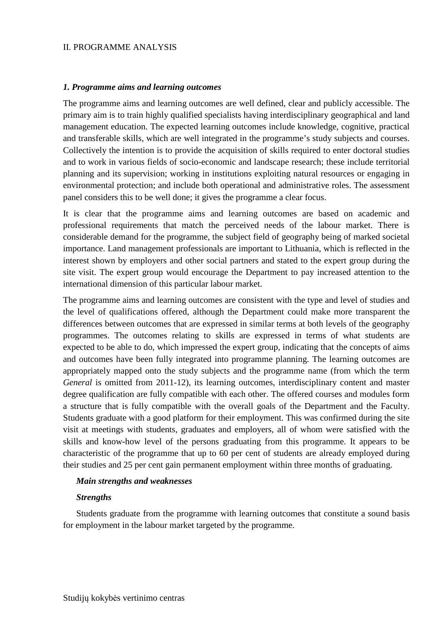#### II. PROGRAMME ANALYSIS

#### *1. Programme aims and learning outcomes*

The programme aims and learning outcomes are well defined, clear and publicly accessible. The primary aim is to train highly qualified specialists having interdisciplinary geographical and land management education. The expected learning outcomes include knowledge, cognitive, practical and transferable skills, which are well integrated in the programme's study subjects and courses. Collectively the intention is to provide the acquisition of skills required to enter doctoral studies and to work in various fields of socio-economic and landscape research; these include territorial planning and its supervision; working in institutions exploiting natural resources or engaging in environmental protection; and include both operational and administrative roles. The assessment panel considers this to be well done; it gives the programme a clear focus.

It is clear that the programme aims and learning outcomes are based on academic and professional requirements that match the perceived needs of the labour market. There is considerable demand for the programme, the subject field of geography being of marked societal importance. Land management professionals are important to Lithuania, which is reflected in the interest shown by employers and other social partners and stated to the expert group during the site visit. The expert group would encourage the Department to pay increased attention to the international dimension of this particular labour market.

The programme aims and learning outcomes are consistent with the type and level of studies and the level of qualifications offered, although the Department could make more transparent the differences between outcomes that are expressed in similar terms at both levels of the geography programmes. The outcomes relating to skills are expressed in terms of what students are expected to be able to do, which impressed the expert group, indicating that the concepts of aims and outcomes have been fully integrated into programme planning. The learning outcomes are appropriately mapped onto the study subjects and the programme name (from which the term General is omitted from 2011-12), its learning outcomes, interdisciplinary content and master degree qualification are fully compatible with each other. The offered courses and modules form a structure that is fully compatible with the overall goals of the Department and the Faculty. Students graduate with a good platform for their employment. This was confirmed during the site visit at meetings with students, graduates and employers, all of whom were satisfied with the skills and know-how level of the persons graduating from this programme. It appears to be characteristic of the programme that up to 60 per cent of students are already employed during their studies and 25 per cent gain permanent employment within three months of graduating.

#### *Main strengths and weaknesses*

#### *Strengths*

Students graduate from the programme with learning outcomes that constitute a sound basis for employment in the labour market targeted by the programme.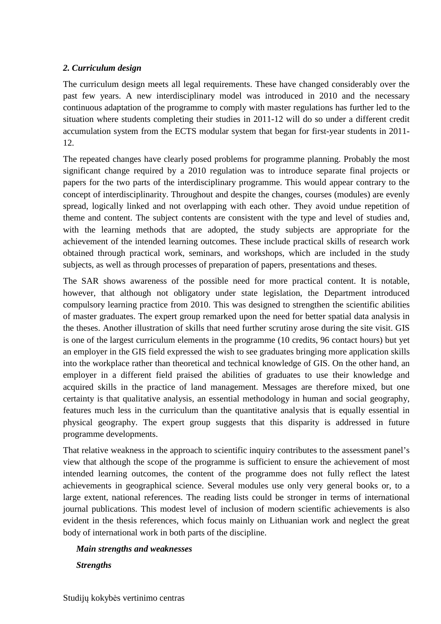## *2. Curriculum design*

The curriculum design meets all legal requirements. These have changed considerably over the past few years. A new interdisciplinary model was introduced in 2010 and the necessary continuous adaptation of the programme to comply with master regulations has further led to the situation where students completing their studies in 2011-12 will do so under a different credit accumulation system from the ECTS modular system that began for first-year students in 2011- 12.

The repeated changes have clearly posed problems for programme planning. Probably the most significant change required by a 2010 regulation was to introduce separate final projects or papers for the two parts of the interdisciplinary programme. This would appear contrary to the concept of interdisciplinarity. Throughout and despite the changes, courses (modules) are evenly spread, logically linked and not overlapping with each other. They avoid undue repetition of theme and content. The subject contents are consistent with the type and level of studies and, with the learning methods that are adopted, the study subjects are appropriate for the achievement of the intended learning outcomes. These include practical skills of research work obtained through practical work, seminars, and workshops, which are included in the study subjects, as well as through processes of preparation of papers, presentations and theses.

The SAR shows awareness of the possible need for more practical content. It is notable, however, that although not obligatory under state legislation, the Department introduced compulsory learning practice from 2010. This was designed to strengthen the scientific abilities of master graduates. The expert group remarked upon the need for better spatial data analysis in the theses. Another illustration of skills that need further scrutiny arose during the site visit. GIS is one of the largest curriculum elements in the programme (10 credits, 96 contact hours) but yet an employer in the GIS field expressed the wish to see graduates bringing more application skills into the workplace rather than theoretical and technical knowledge of GIS. On the other hand, an employer in a different field praised the abilities of graduates to use their knowledge and acquired skills in the practice of land management. Messages are therefore mixed, but one certainty is that qualitative analysis, an essential methodology in human and social geography, features much less in the curriculum than the quantitative analysis that is equally essential in physical geography. The expert group suggests that this disparity is addressed in future programme developments.

That relative weakness in the approach to scientific inquiry contributes to the assessment panel's view that although the scope of the programme is sufficient to ensure the achievement of most intended learning outcomes, the content of the programme does not fully reflect the latest achievements in geographical science. Several modules use only very general books or, to a large extent, national references. The reading lists could be stronger in terms of international journal publications. This modest level of inclusion of modern scientific achievements is also evident in the thesis references, which focus mainly on Lithuanian work and neglect the great body of international work in both parts of the discipline.

# *Main strengths and weaknesses*

*Strengths*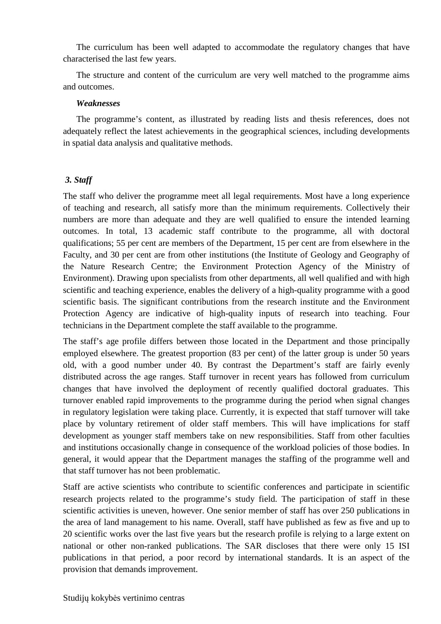The curriculum has been well adapted to accommodate the regulatory changes that have characterised the last few years.

The structure and content of the curriculum are very well matched to the programme aims and outcomes.

#### *Weaknesses*

The programme's content, as illustrated by reading lists and thesis references, does not adequately reflect the latest achievements in the geographical sciences, including developments in spatial data analysis and qualitative methods.

## *3. Staff*

The staff who deliver the programme meet all legal requirements. Most have a long experience of teaching and research, all satisfy more than the minimum requirements. Collectively their numbers are more than adequate and they are well qualified to ensure the intended learning outcomes. In total, 13 academic staff contribute to the programme, all with doctoral qualifications; 55 per cent are members of the Department, 15 per cent are from elsewhere in the Faculty, and 30 per cent are from other institutions (the Institute of Geology and Geography of the Nature Research Centre; the Environment Protection Agency of the Ministry of Environment). Drawing upon specialists from other departments, all well qualified and with high scientific and teaching experience, enables the delivery of a high-quality programme with a good scientific basis. The significant contributions from the research institute and the Environment Protection Agency are indicative of high-quality inputs of research into teaching. Four technicians in the Department complete the staff available to the programme.

The staff's age profile differs between those located in the Department and those principally employed elsewhere. The greatest proportion (83 per cent) of the latter group is under 50 years old, with a good number under 40. By contrast the Department's staff are fairly evenly distributed across the age ranges. Staff turnover in recent years has followed from curriculum changes that have involved the deployment of recently qualified doctoral graduates. This turnover enabled rapid improvements to the programme during the period when signal changes in regulatory legislation were taking place. Currently, it is expected that staff turnover will take place by voluntary retirement of older staff members. This will have implications for staff development as younger staff members take on new responsibilities. Staff from other faculties and institutions occasionally change in consequence of the workload policies of those bodies. In general, it would appear that the Department manages the staffing of the programme well and that staff turnover has not been problematic.

Staff are active scientists who contribute to scientific conferences and participate in scientific research projects related to the programme's study field. The participation of staff in these scientific activities is uneven, however. One senior member of staff has over 250 publications in the area of land management to his name. Overall, staff have published as few as five and up to 20 scientific works over the last five years but the research profile is relying to a large extent on national or other non-ranked publications. The SAR discloses that there were only 15 ISI publications in that period, a poor record by international standards. It is an aspect of the provision that demands improvement.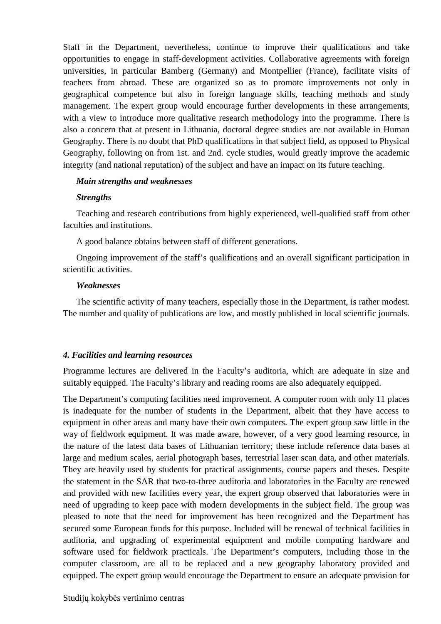Staff in the Department, nevertheless, continue to improve their qualifications and take opportunities to engage in staff-development activities. Collaborative agreements with foreign universities, in particular Bamberg (Germany) and Montpellier (France), facilitate visits of teachers from abroad. These are organized so as to promote improvements not only in geographical competence but also in foreign language skills, teaching methods and study management. The expert group would encourage further developments in these arrangements, with a view to introduce more qualitative research methodology into the programme. There is also a concern that at present in Lithuania, doctoral degree studies are not available in Human Geography. There is no doubt that PhD qualifications in that subject field, as opposed to Physical Geography, following on from 1st. and 2nd. cycle studies, would greatly improve the academic integrity (and national reputation) of the subject and have an impact on its future teaching.

#### *Main strengths and weaknesses*

#### *Strengths*

Teaching and research contributions from highly experienced, well-qualified staff from other faculties and institutions.

A good balance obtains between staff of different generations.

Ongoing improvement of the staff's qualifications and an overall significant participation in scientific activities.

#### *Weaknesses*

The scientific activity of many teachers, especially those in the Department, is rather modest. The number and quality of publications are low, and mostly published in local scientific journals.

#### *4. Facilities and learning resources*

Programme lectures are delivered in the Faculty's auditoria, which are adequate in size and suitably equipped. The Faculty's library and reading rooms are also adequately equipped.

The Department's computing facilities need improvement. A computer room with only 11 places is inadequate for the number of students in the Department, albeit that they have access to equipment in other areas and many have their own computers. The expert group saw little in the way of fieldwork equipment. It was made aware, however, of a very good learning resource, in the nature of the latest data bases of Lithuanian territory; these include reference data bases at large and medium scales, aerial photograph bases, terrestrial laser scan data, and other materials. They are heavily used by students for practical assignments, course papers and theses. Despite the statement in the SAR that two-to-three auditoria and laboratories in the Faculty are renewed and provided with new facilities every year, the expert group observed that laboratories were in need of upgrading to keep pace with modern developments in the subject field. The group was pleased to note that the need for improvement has been recognized and the Department has secured some European funds for this purpose. Included will be renewal of technical facilities in auditoria, and upgrading of experimental equipment and mobile computing hardware and software used for fieldwork practicals. The Department's computers, including those in the computer classroom, are all to be replaced and a new geography laboratory provided and equipped. The expert group would encourage the Department to ensure an adequate provision for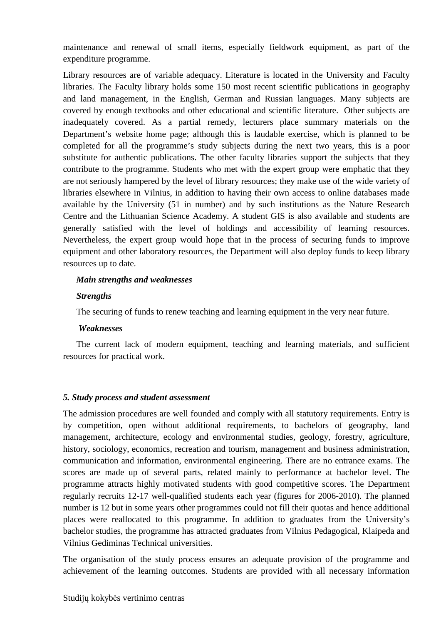maintenance and renewal of small items, especially fieldwork equipment, as part of the expenditure programme.

Library resources are of variable adequacy. Literature is located in the University and Faculty libraries. The Faculty library holds some 150 most recent scientific publications in geography and land management, in the English, German and Russian languages. Many subjects are covered by enough textbooks and other educational and scientific literature. Other subjects are inadequately covered. As a partial remedy, lecturers place summary materials on the Department's website home page; although this is laudable exercise, which is planned to be completed for all the programme's study subjects during the next two years, this is a poor substitute for authentic publications. The other faculty libraries support the subjects that they contribute to the programme. Students who met with the expert group were emphatic that they are not seriously hampered by the level of library resources; they make use of the wide variety of libraries elsewhere in Vilnius, in addition to having their own access to online databases made available by the University (51 in number) and by such institutions as the Nature Research Centre and the Lithuanian Science Academy. A student GIS is also available and students are generally satisfied with the level of holdings and accessibility of learning resources. Nevertheless, the expert group would hope that in the process of securing funds to improve equipment and other laboratory resources, the Department will also deploy funds to keep library resources up to date.

#### *Main strengths and weaknesses*

## *Strengths*

The securing of funds to renew teaching and learning equipment in the very near future.

#### *Weaknesses*

The current lack of modern equipment, teaching and learning materials, and sufficient resources for practical work.

#### *5. Study process and student assessment*

The admission procedures are well founded and comply with all statutory requirements. Entry is by competition, open without additional requirements, to bachelors of geography, land management, architecture, ecology and environmental studies, geology, forestry, agriculture, history, sociology, economics, recreation and tourism, management and business administration, communication and information, environmental engineering. There are no entrance exams. The scores are made up of several parts, related mainly to performance at bachelor level. The programme attracts highly motivated students with good competitive scores. The Department regularly recruits 12-17 well-qualified students each year (figures for 2006-2010). The planned number is 12 but in some years other programmes could not fill their quotas and hence additional places were reallocated to this programme. In addition to graduates from the University's bachelor studies, the programme has attracted graduates from Vilnius Pedagogical, Klaipeda and Vilnius Gediminas Technical universities.

The organisation of the study process ensures an adequate provision of the programme and achievement of the learning outcomes. Students are provided with all necessary information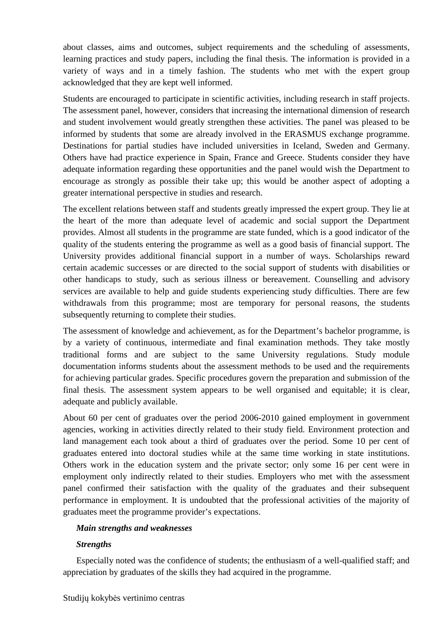about classes, aims and outcomes, subject requirements and the scheduling of assessments, learning practices and study papers, including the final thesis. The information is provided in a variety of ways and in a timely fashion. The students who met with the expert group acknowledged that they are kept well informed.

Students are encouraged to participate in scientific activities, including research in staff projects. The assessment panel, however, considers that increasing the international dimension of research and student involvement would greatly strengthen these activities. The panel was pleased to be informed by students that some are already involved in the ERASMUS exchange programme. Destinations for partial studies have included universities in Iceland, Sweden and Germany. Others have had practice experience in Spain, France and Greece. Students consider they have adequate information regarding these opportunities and the panel would wish the Department to encourage as strongly as possible their take up; this would be another aspect of adopting a greater international perspective in studies and research.

The excellent relations between staff and students greatly impressed the expert group. They lie at the heart of the more than adequate level of academic and social support the Department provides. Almost all students in the programme are state funded, which is a good indicator of the quality of the students entering the programme as well as a good basis of financial support. The University provides additional financial support in a number of ways. Scholarships reward certain academic successes or are directed to the social support of students with disabilities or other handicaps to study, such as serious illness or bereavement. Counselling and advisory services are available to help and guide students experiencing study difficulties. There are few withdrawals from this programme; most are temporary for personal reasons, the students subsequently returning to complete their studies.

The assessment of knowledge and achievement, as for the Department's bachelor programme, is by a variety of continuous, intermediate and final examination methods. They take mostly traditional forms and are subject to the same University regulations. Study module documentation informs students about the assessment methods to be used and the requirements for achieving particular grades. Specific procedures govern the preparation and submission of the final thesis. The assessment system appears to be well organised and equitable; it is clear, adequate and publicly available.

About 60 per cent of graduates over the period 2006-2010 gained employment in government agencies, working in activities directly related to their study field. Environment protection and land management each took about a third of graduates over the period. Some 10 per cent of graduates entered into doctoral studies while at the same time working in state institutions. Others work in the education system and the private sector; only some 16 per cent were in employment only indirectly related to their studies. Employers who met with the assessment panel confirmed their satisfaction with the quality of the graduates and their subsequent performance in employment. It is undoubted that the professional activities of the majority of graduates meet the programme provider's expectations.

## *Main strengths and weaknesses*

## *Strengths*

Especially noted was the confidence of students; the enthusiasm of a well-qualified staff; and appreciation by graduates of the skills they had acquired in the programme.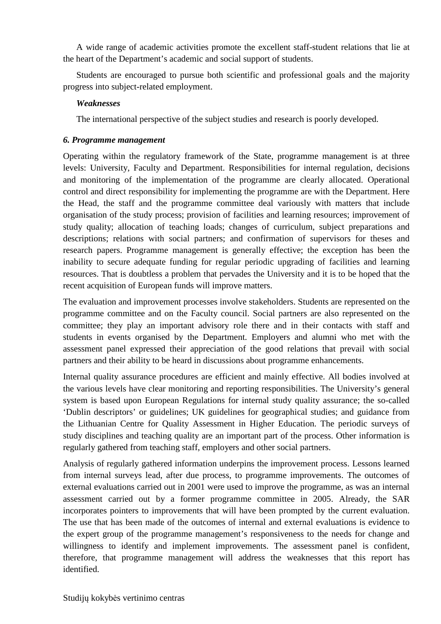A wide range of academic activities promote the excellent staff-student relations that lie at the heart of the Department's academic and social support of students.

Students are encouraged to pursue both scientific and professional goals and the majority progress into subject-related employment.

## *Weaknesses*

The international perspective of the subject studies and research is poorly developed.

## *6. Programme management*

Operating within the regulatory framework of the State, programme management is at three levels: University, Faculty and Department. Responsibilities for internal regulation, decisions and monitoring of the implementation of the programme are clearly allocated. Operational control and direct responsibility for implementing the programme are with the Department. Here the Head, the staff and the programme committee deal variously with matters that include organisation of the study process; provision of facilities and learning resources; improvement of study quality; allocation of teaching loads; changes of curriculum, subject preparations and descriptions; relations with social partners; and confirmation of supervisors for theses and research papers. Programme management is generally effective; the exception has been the inability to secure adequate funding for regular periodic upgrading of facilities and learning resources. That is doubtless a problem that pervades the University and it is to be hoped that the recent acquisition of European funds will improve matters.

The evaluation and improvement processes involve stakeholders. Students are represented on the programme committee and on the Faculty council. Social partners are also represented on the committee; they play an important advisory role there and in their contacts with staff and students in events organised by the Department. Employers and alumni who met with the assessment panel expressed their appreciation of the good relations that prevail with social partners and their ability to be heard in discussions about programme enhancements.

Internal quality assurance procedures are efficient and mainly effective. All bodies involved at the various levels have clear monitoring and reporting responsibilities. The University's general system is based upon European Regulations for internal study quality assurance; the so-called 'Dublin descriptors' or guidelines; UK guidelines for geographical studies; and guidance from the Lithuanian Centre for Quality Assessment in Higher Education. The periodic surveys of study disciplines and teaching quality are an important part of the process. Other information is regularly gathered from teaching staff, employers and other social partners.

Analysis of regularly gathered information underpins the improvement process. Lessons learned from internal surveys lead, after due process, to programme improvements. The outcomes of external evaluations carried out in 2001 were used to improve the programme, as was an internal assessment carried out by a former programme committee in 2005. Already, the SAR incorporates pointers to improvements that will have been prompted by the current evaluation. The use that has been made of the outcomes of internal and external evaluations is evidence to the expert group of the programme management's responsiveness to the needs for change and willingness to identify and implement improvements. The assessment panel is confident, therefore, that programme management will address the weaknesses that this report has identified.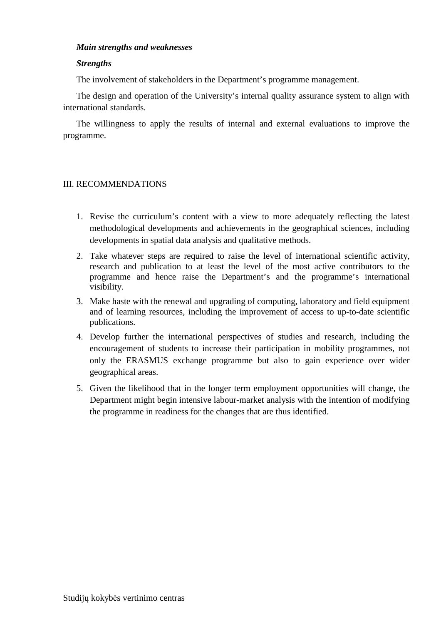#### *Main strengths and weaknesses*

#### *Strengths*

The involvement of stakeholders in the Department's programme management.

The design and operation of the University's internal quality assurance system to align with international standards.

The willingness to apply the results of internal and external evaluations to improve the programme.

#### III. RECOMMENDATIONS

- 1. Revise the curriculum's content with a view to more adequately reflecting the latest methodological developments and achievements in the geographical sciences, including developments in spatial data analysis and qualitative methods.
- 2. Take whatever steps are required to raise the level of international scientific activity, research and publication to at least the level of the most active contributors to the programme and hence raise the Department's and the programme's international visibility.
- 3. Make haste with the renewal and upgrading of computing, laboratory and field equipment and of learning resources, including the improvement of access to up-to-date scientific publications.
- 4. Develop further the international perspectives of studies and research, including the encouragement of students to increase their participation in mobility programmes, not only the ERASMUS exchange programme but also to gain experience over wider geographical areas.
- 5. Given the likelihood that in the longer term employment opportunities will change, the Department might begin intensive labour-market analysis with the intention of modifying the programme in readiness for the changes that are thus identified.